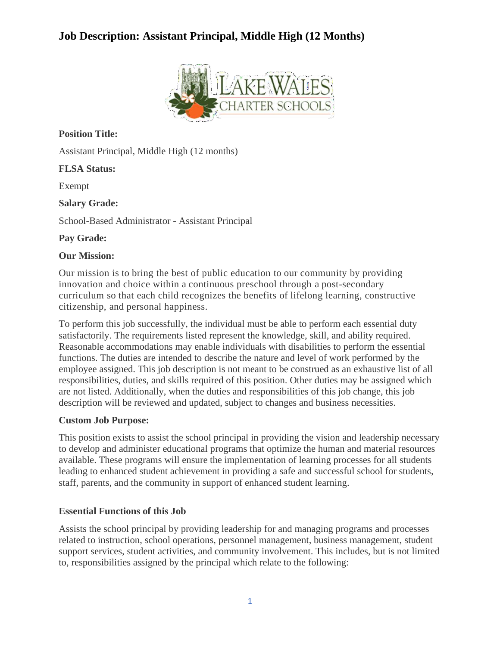

**Position Title:**

Assistant Principal, Middle High (12 months)

### **FLSA Status:**

Exempt

**Salary Grade:**

School-Based Administrator - Assistant Principal

### **Pay Grade:**

### **Our Mission:**

Our mission is to bring the best of public education to our community by providing innovation and choice within a continuous preschool through a post-secondary curriculum so that each child recognizes the benefits of lifelong learning, constructive citizenship, and personal happiness.

To perform this job successfully, the individual must be able to perform each essential duty satisfactorily. The requirements listed represent the knowledge, skill, and ability required. Reasonable accommodations may enable individuals with disabilities to perform the essential functions. The duties are intended to describe the nature and level of work performed by the employee assigned. This job description is not meant to be construed as an exhaustive list of all responsibilities, duties, and skills required of this position. Other duties may be assigned which are not listed. Additionally, when the duties and responsibilities of this job change, this job description will be reviewed and updated, subject to changes and business necessities.

### **Custom Job Purpose:**

This position exists to assist the school principal in providing the vision and leadership necessary to develop and administer educational programs that optimize the human and material resources available. These programs will ensure the implementation of learning processes for all students leading to enhanced student achievement in providing a safe and successful school for students, staff, parents, and the community in support of enhanced student learning.

## **Essential Functions of this Job**

Assists the school principal by providing leadership for and managing programs and processes related to instruction, school operations, personnel management, business management, student support services, student activities, and community involvement. This includes, but is not limited to, responsibilities assigned by the principal which relate to the following: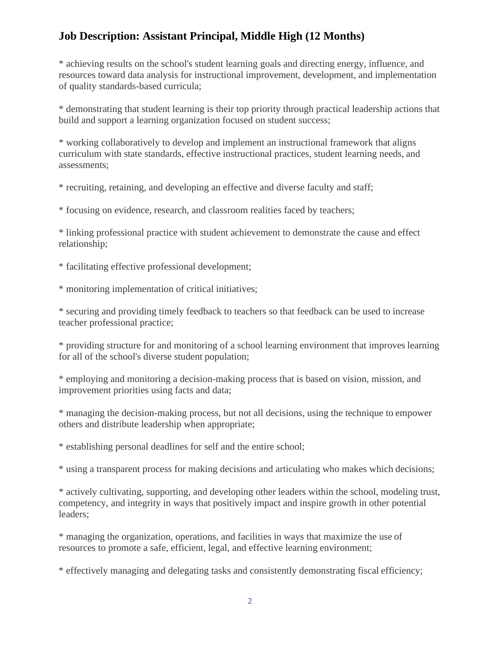\* achieving results on the school's student learning goals and directing energy, influence, and resources toward data analysis for instructional improvement, development, and implementation of quality standards-based curricula;

\* demonstrating that student learning is their top priority through practical leadership actions that build and support a learning organization focused on student success;

\* working collaboratively to develop and implement an instructional framework that aligns curriculum with state standards, effective instructional practices, student learning needs, and assessments;

\* recruiting, retaining, and developing an effective and diverse faculty and staff;

\* focusing on evidence, research, and classroom realities faced by teachers;

\* linking professional practice with student achievement to demonstrate the cause and effect relationship;

\* facilitating effective professional development;

\* monitoring implementation of critical initiatives;

\* securing and providing timely feedback to teachers so that feedback can be used to increase teacher professional practice;

\* providing structure for and monitoring of a school learning environment that improves learning for all of the school's diverse student population;

\* employing and monitoring a decision-making process that is based on vision, mission, and improvement priorities using facts and data;

\* managing the decision-making process, but not all decisions, using the technique to empower others and distribute leadership when appropriate;

\* establishing personal deadlines for self and the entire school;

\* using a transparent process for making decisions and articulating who makes which decisions;

\* actively cultivating, supporting, and developing other leaders within the school, modeling trust, competency, and integrity in ways that positively impact and inspire growth in other potential leaders;

\* managing the organization, operations, and facilities in ways that maximize the use of resources to promote a safe, efficient, legal, and effective learning environment;

\* effectively managing and delegating tasks and consistently demonstrating fiscal efficiency;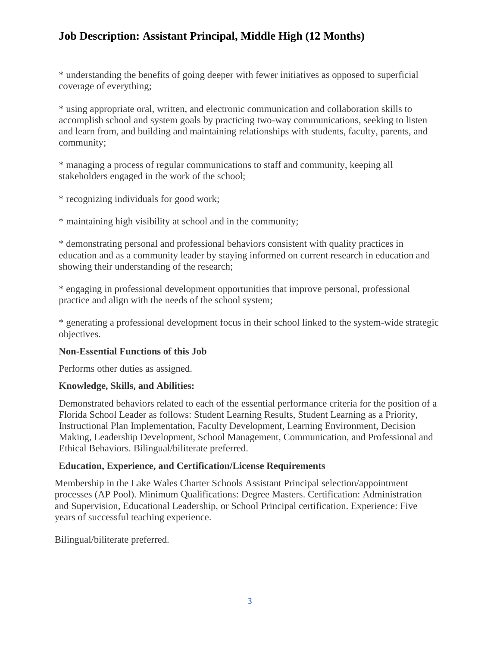\* understanding the benefits of going deeper with fewer initiatives as opposed to superficial coverage of everything;

\* using appropriate oral, written, and electronic communication and collaboration skills to accomplish school and system goals by practicing two-way communications, seeking to listen and learn from, and building and maintaining relationships with students, faculty, parents, and community;

\* managing a process of regular communications to staff and community, keeping all stakeholders engaged in the work of the school;

\* recognizing individuals for good work;

\* maintaining high visibility at school and in the community;

\* demonstrating personal and professional behaviors consistent with quality practices in education and as a community leader by staying informed on current research in education and showing their understanding of the research;

\* engaging in professional development opportunities that improve personal, professional practice and align with the needs of the school system;

\* generating a professional development focus in their school linked to the system-wide strategic objectives.

### **Non-Essential Functions of this Job**

Performs other duties as assigned.

### **Knowledge, Skills, and Abilities:**

Demonstrated behaviors related to each of the essential performance criteria for the position of a Florida School Leader as follows: Student Learning Results, Student Learning as a Priority, Instructional Plan Implementation, Faculty Development, Learning Environment, Decision Making, Leadership Development, School Management, Communication, and Professional and Ethical Behaviors. Bilingual/biliterate preferred.

### **Education, Experience, and Certification/License Requirements**

Membership in the Lake Wales Charter Schools Assistant Principal selection/appointment processes (AP Pool). Minimum Qualifications: Degree Masters. Certification: Administration and Supervision, Educational Leadership, or School Principal certification. Experience: Five years of successful teaching experience.

Bilingual/biliterate preferred.